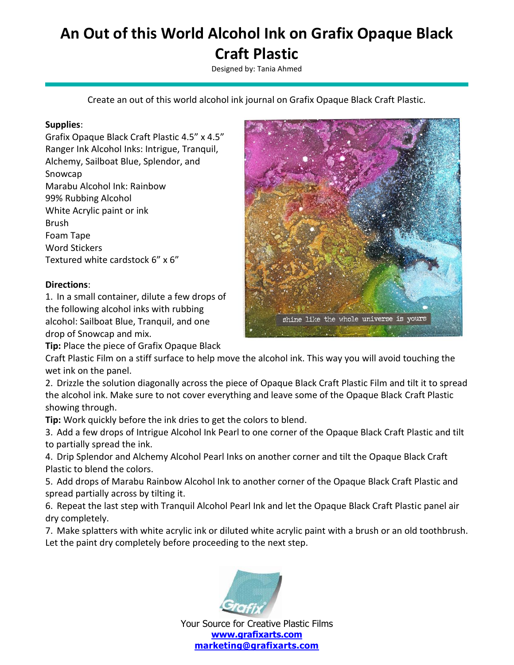## **An Out of this World Alcohol Ink on Grafix Opaque Black Craft Plastic**

Designed by: Tania Ahmed

Create an out of this world alcohol ink journal on Grafix Opaque Black Craft Plastic.

## **Supplies**:

Grafix Opaque Black Craft Plastic 4.5" x 4.5" Ranger Ink Alcohol Inks: Intrigue, Tranquil, Alchemy, Sailboat Blue, Splendor, and Snowcap Marabu Alcohol Ink: Rainbow 99% Rubbing Alcohol White Acrylic paint or ink Brush Foam Tape Word Stickers Textured white cardstock 6" x 6"

## **Directions**:

1. In a small container, dilute a few drops of the following alcohol inks with rubbing alcohol: Sailboat Blue, Tranquil, and one drop of Snowcap and mix.

**Tip:** Place the piece of Grafix Opaque Black



Craft Plastic Film on a stiff surface to help move the alcohol ink. This way you will avoid touching the wet ink on the panel.

2. Drizzle the solution diagonally across the piece of Opaque Black Craft Plastic Film and tilt it to spread the alcohol ink. Make sure to not cover everything and leave some of the Opaque Black Craft Plastic showing through.

**Tip:** Work quickly before the ink dries to get the colors to blend.

3. Add a few drops of Intrigue Alcohol Ink Pearl to one corner of the Opaque Black Craft Plastic and tilt to partially spread the ink.

4. Drip Splendor and Alchemy Alcohol Pearl Inks on another corner and tilt the Opaque Black Craft Plastic to blend the colors.

5. Add drops of Marabu Rainbow Alcohol Ink to another corner of the Opaque Black Craft Plastic and spread partially across by tilting it.

6. Repeat the last step with Tranquil Alcohol Pearl Ink and let the Opaque Black Craft Plastic panel air dry completely.

7. Make splatters with white acrylic ink or diluted white acrylic paint with a brush or an old toothbrush. Let the paint dry completely before proceeding to the next step.



Your Source for Creative Plastic Films **[www.grafixarts.com](http://www.grafixarts.com/) [marketing@grafixarts.com](mailto:marketing@grafixarts.com)**